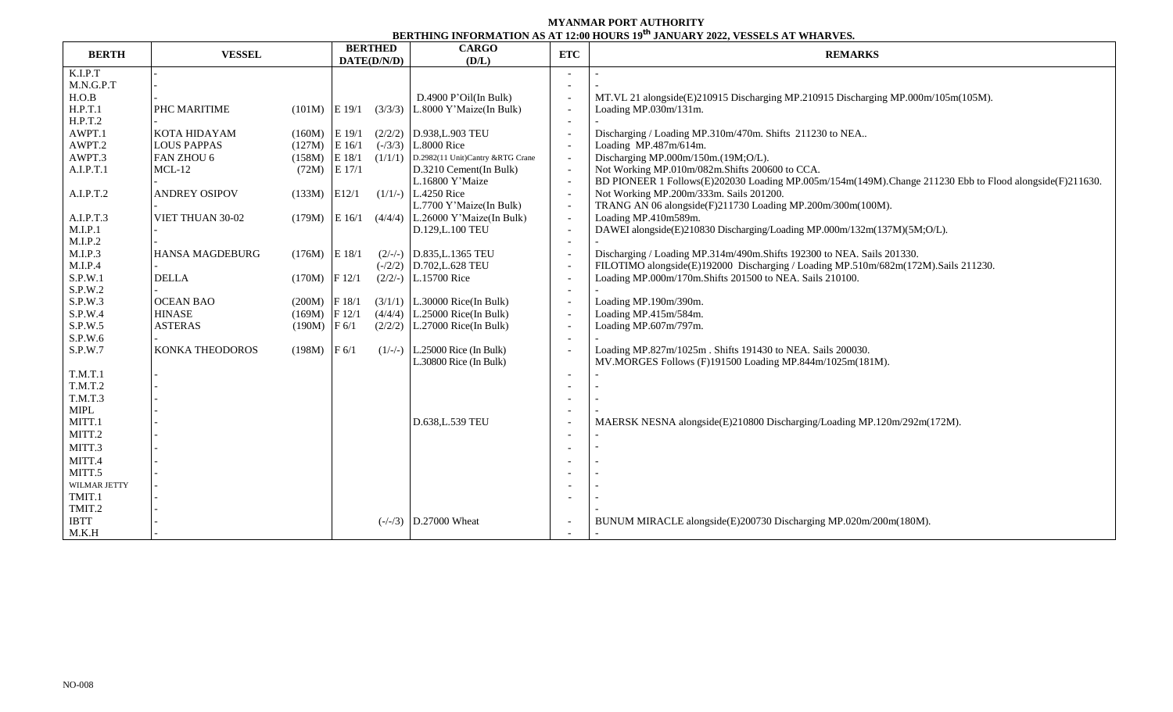## **MYANMAR PORT AUTHORITY BERTHING INFORMATION AS AT 12:00 HOURS 19 th JANUARY 2022, VESSELS AT WHARVES.**

|              |                      | <b>BERTHED</b><br><b>CARGO</b> |                                  |            | DERTHING INFORMATION AS AT 12.00 HOURS 17 JANUART 2022, VESSEES AT WITARVES                             |  |  |  |
|--------------|----------------------|--------------------------------|----------------------------------|------------|---------------------------------------------------------------------------------------------------------|--|--|--|
| <b>BERTH</b> | <b>VESSEL</b>        | DATE(D/N/D)                    | (D/L)                            | <b>ETC</b> | <b>REMARKS</b>                                                                                          |  |  |  |
| K.I.P.T      |                      |                                |                                  |            |                                                                                                         |  |  |  |
| M.N.G.P.T    |                      |                                |                                  |            |                                                                                                         |  |  |  |
| H.O.B        |                      |                                | D.4900 P'Oil(In Bulk)            |            | MT.VL 21 alongside(E)210915 Discharging MP.210915 Discharging MP.000m/105m(105M).                       |  |  |  |
| H.P.T.1      | PHC MARITIME         | $(101M)$ E 19/1<br>(3/3/3)     | L.8000 Y'Maize(In Bulk)          |            | Loading MP.030m/131m.                                                                                   |  |  |  |
| H.P.T.2      |                      |                                |                                  |            |                                                                                                         |  |  |  |
| AWPT.1       | <b>KOTA HIDAYAM</b>  | $(160M)$ E 19/1                | $(2/2/2)$ D.938, L.903 TEU       |            | Discharging / Loading MP.310m/470m. Shifts 211230 to NEA                                                |  |  |  |
| AWPT.2       | <b>LOUS PAPPAS</b>   | $(127M)$ E 16/1<br>$(-/3/3)$   | L.8000 Rice                      |            | Loading MP.487m/614m.                                                                                   |  |  |  |
| AWPT.3       | FAN ZHOU 6           | $(158M)$ E 18/1<br>(1/1/1)     | D.2982(11 Unit)Cantry &RTG Crane |            | Discharging MP.000m/150m.(19M;O/L).                                                                     |  |  |  |
| A.I.P.T.1    | $MCL-12$             | $(72M)$ E 17/1                 | D.3210 Cement(In Bulk)           |            | Not Working MP.010m/082m.Shifts 200600 to CCA.                                                          |  |  |  |
|              |                      |                                | L.16800 Y'Maize                  |            | BD PIONEER 1 Follows(E)202030 Loading MP.005m/154m(149M).Change 211230 Ebb to Flood alongside(F)211630. |  |  |  |
| A.I.P.T.2    | <b>ANDREY OSIPOV</b> | $(133M)$ E12/1                 | $(1/1/-)$ L.4250 Rice            |            | Not Working MP.200m/333m. Sails 201200.                                                                 |  |  |  |
|              |                      |                                | L.7700 Y'Maize(In Bulk)          |            | TRANG AN 06 alongside(F)211730 Loading MP.200m/300m(100M).                                              |  |  |  |
| A.I.P.T.3    | VIET THUAN 30-02     | $(179M)$ E 16/1 $(4/4/4)$      | L.26000 Y'Maize(In Bulk)         |            | Loading MP.410m589m.                                                                                    |  |  |  |
| M.I.P.1      |                      |                                | D.129, L.100 TEU                 |            | DAWEI alongside(E)210830 Discharging/Loading MP.000m/132m(137M)(5M;O/L).                                |  |  |  |
| M.I.P.2      |                      |                                |                                  |            |                                                                                                         |  |  |  |
| M.I.P.3      | HANSA MAGDEBURG      | $(176M)$ E 18/1                | $(2/-)$ D.835, L.1365 TEU        |            | Discharging / Loading MP.314m/490m.Shifts 192300 to NEA. Sails 201330.                                  |  |  |  |
| M.I.P.4      |                      |                                | $(-/2/2)$ D.702, L.628 TEU       |            | FILOTIMO alongside(E)192000 Discharging / Loading MP.510m/682m(172M).Sails 211230.                      |  |  |  |
| S.P.W.1      | <b>DELLA</b>         | $(170M)$  F 12/1               | $(2/2/-)$ L.15700 Rice           |            | Loading MP.000m/170m.Shifts 201500 to NEA. Sails 210100.                                                |  |  |  |
| S.P.W.2      |                      |                                |                                  |            |                                                                                                         |  |  |  |
| S.P.W.3      | <b>OCEAN BAO</b>     | $(200M)$ F 18/1                | $(3/1/1)$ L.30000 Rice(In Bulk)  |            | Loading MP.190m/390m.                                                                                   |  |  |  |
| S.P.W.4      | <b>HINASE</b>        | $(169M)$ F 12/1                | $(4/4/4)$ L.25000 Rice(In Bulk)  |            | Loading MP.415m/584m.                                                                                   |  |  |  |
| S.P.W.5      | <b>ASTERAS</b>       | $(190M)$ F 6/1                 | $(2/2/2)$ L.27000 Rice(In Bulk)  |            | Loading MP.607m/797m.                                                                                   |  |  |  |
| S.P.W.6      |                      |                                |                                  |            |                                                                                                         |  |  |  |
| S.P.W.7      | KONKA THEODOROS      | $(198M)$ F 6/1                 | $(1/-/-)$ L.25000 Rice (In Bulk) |            | Loading MP.827m/1025m. Shifts 191430 to NEA. Sails 200030.                                              |  |  |  |
|              |                      |                                | L.30800 Rice (In Bulk)           |            | MV.MORGES Follows (F)191500 Loading MP.844m/1025m(181M).                                                |  |  |  |
| T.M.T.1      |                      |                                |                                  |            |                                                                                                         |  |  |  |
| T.M.T.2      |                      |                                |                                  |            |                                                                                                         |  |  |  |
| T.M.T.3      |                      |                                |                                  |            |                                                                                                         |  |  |  |
| <b>MIPL</b>  |                      |                                |                                  |            |                                                                                                         |  |  |  |
| MITT.1       |                      |                                | D.638, L.539 TEU                 |            | MAERSK NESNA alongside(E)210800 Discharging/Loading MP.120m/292m(172M).                                 |  |  |  |
| MITT.2       |                      |                                |                                  |            |                                                                                                         |  |  |  |
| MITT.3       |                      |                                |                                  |            |                                                                                                         |  |  |  |
| MITT.4       |                      |                                |                                  |            |                                                                                                         |  |  |  |
| MITT.5       |                      |                                |                                  |            |                                                                                                         |  |  |  |
| WILMAR JETTY |                      |                                |                                  |            |                                                                                                         |  |  |  |
| TMIT.1       |                      |                                |                                  |            |                                                                                                         |  |  |  |
| TMIT.2       |                      |                                |                                  |            |                                                                                                         |  |  |  |
| <b>IBTT</b>  |                      |                                | $(-/-/3)$ D.27000 Wheat          |            | BUNUM MIRACLE alongside(E)200730 Discharging MP.020m/200m(180M).                                        |  |  |  |
| M.K.H        |                      |                                |                                  |            |                                                                                                         |  |  |  |